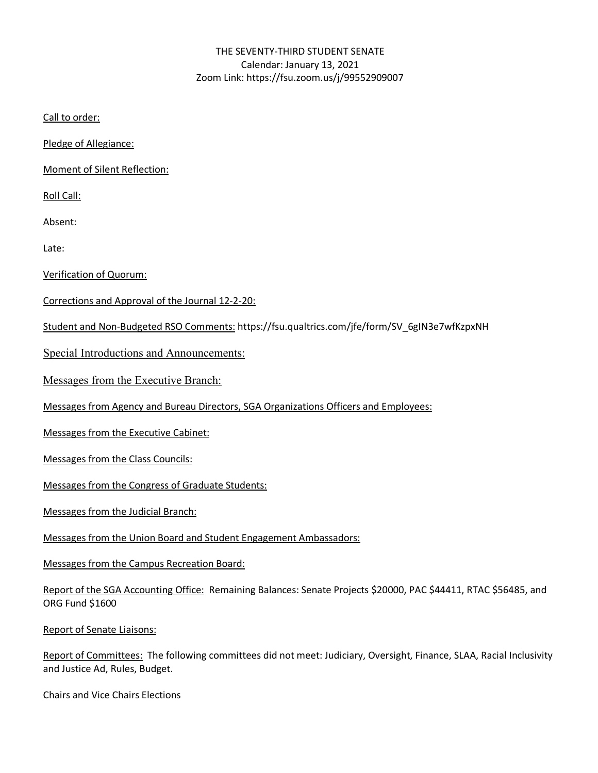## THE SEVENTY-THIRD STUDENT SENATE Calendar: January 13, 2021 Zoom Link: https://fsu.zoom.us/j/99552909007

Call to order:

Pledge of Allegiance:

Moment of Silent Reflection:

Roll Call:

Absent:

Late:

Verification of Quorum:

Corrections and Approval of the Journal 12-2-20:

Student and Non-Budgeted RSO Comments: https://fsu.qualtrics.com/jfe/form/SV\_6gIN3e7wfKzpxNH

Special Introductions and Announcements:

Messages from the Executive Branch:

Messages from Agency and Bureau Directors, SGA Organizations Officers and Employees:

Messages from the Executive Cabinet:

Messages from the Class Councils:

Messages from the Congress of Graduate Students:

Messages from the Judicial Branch:

Messages from the Union Board and Student Engagement Ambassadors:

Messages from the Campus Recreation Board:

Report of the SGA Accounting Office: Remaining Balances: Senate Projects \$20000, PAC \$44411, RTAC \$56485, and ORG Fund \$1600

Report of Senate Liaisons:

Report of Committees: The following committees did not meet: Judiciary, Oversight, Finance, SLAA, Racial Inclusivity and Justice Ad, Rules, Budget.

Chairs and Vice Chairs Elections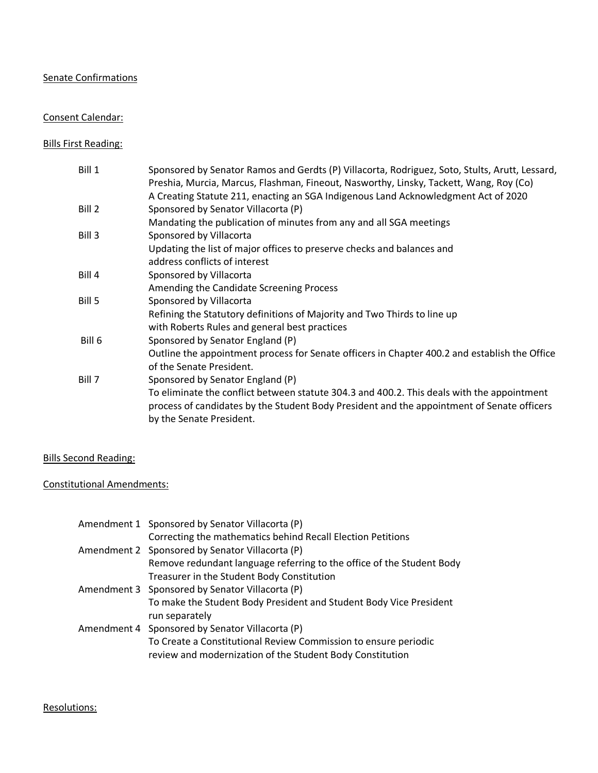# Senate Confirmations

### Consent Calendar:

# Bills First Reading:

| Bill 1 | Sponsored by Senator Ramos and Gerdts (P) Villacorta, Rodriguez, Soto, Stults, Arutt, Lessard,<br>Preshia, Murcia, Marcus, Flashman, Fineout, Nasworthy, Linsky, Tackett, Wang, Roy (Co)<br>A Creating Statute 211, enacting an SGA Indigenous Land Acknowledgment Act of 2020 |
|--------|--------------------------------------------------------------------------------------------------------------------------------------------------------------------------------------------------------------------------------------------------------------------------------|
| Bill 2 | Sponsored by Senator Villacorta (P)                                                                                                                                                                                                                                            |
|        | Mandating the publication of minutes from any and all SGA meetings                                                                                                                                                                                                             |
| Bill 3 | Sponsored by Villacorta                                                                                                                                                                                                                                                        |
|        | Updating the list of major offices to preserve checks and balances and                                                                                                                                                                                                         |
|        | address conflicts of interest                                                                                                                                                                                                                                                  |
| Bill 4 | Sponsored by Villacorta                                                                                                                                                                                                                                                        |
|        | Amending the Candidate Screening Process                                                                                                                                                                                                                                       |
| Bill 5 | Sponsored by Villacorta                                                                                                                                                                                                                                                        |
|        | Refining the Statutory definitions of Majority and Two Thirds to line up                                                                                                                                                                                                       |
|        | with Roberts Rules and general best practices                                                                                                                                                                                                                                  |
| Bill 6 | Sponsored by Senator England (P)                                                                                                                                                                                                                                               |
|        | Outline the appointment process for Senate officers in Chapter 400.2 and establish the Office<br>of the Senate President.                                                                                                                                                      |
| Bill 7 | Sponsored by Senator England (P)                                                                                                                                                                                                                                               |
|        | To eliminate the conflict between statute 304.3 and 400.2. This deals with the appointment<br>process of candidates by the Student Body President and the appointment of Senate officers<br>by the Senate President.                                                           |

## Bills Second Reading:

## Constitutional Amendments:

| Amendment 1 Sponsored by Senator Villacorta (P)                       |
|-----------------------------------------------------------------------|
| Correcting the mathematics behind Recall Election Petitions           |
| Amendment 2 Sponsored by Senator Villacorta (P)                       |
| Remove redundant language referring to the office of the Student Body |
| Treasurer in the Student Body Constitution                            |
| Amendment 3 Sponsored by Senator Villacorta (P)                       |
| To make the Student Body President and Student Body Vice President    |
| run separately                                                        |
| Amendment 4 Sponsored by Senator Villacorta (P)                       |
| To Create a Constitutional Review Commission to ensure periodic       |
| review and modernization of the Student Body Constitution             |

#### Resolutions: